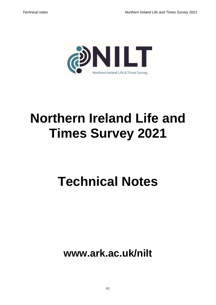

# **Northern Ireland Life and Times Survey 2021**

# **Technical Notes**

**www.ark.ac.uk/nilt**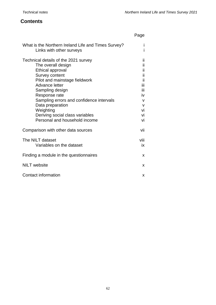## **Contents**

|                                                                                                                                                                                                                                                                                                                                                 | Page                                                                                  |
|-------------------------------------------------------------------------------------------------------------------------------------------------------------------------------------------------------------------------------------------------------------------------------------------------------------------------------------------------|---------------------------------------------------------------------------------------|
| What is the Northern Ireland Life and Times Survey?<br>Links with other surveys                                                                                                                                                                                                                                                                 |                                                                                       |
| Technical details of the 2021 survey<br>The overall design<br><b>Ethical approval</b><br>Survey content<br>Pilot and mainstage fieldwork<br>Advance letter<br>Sampling design<br>Response rate<br>Sampling errors and confidence intervals<br>Data preparation<br>Weighting<br>Deriving social class variables<br>Personal and household income | ii<br>ii<br>ii<br>ii<br>ii<br>iii<br>Ϊij<br>iv<br>v<br>$\mathsf{V}$<br>vi<br>vi<br>vi |
| Comparison with other data sources                                                                                                                                                                                                                                                                                                              | vii                                                                                   |
| The NILT dataset<br>Variables on the dataset                                                                                                                                                                                                                                                                                                    | viii<br>iх                                                                            |
| Finding a module in the questionnaires                                                                                                                                                                                                                                                                                                          | x                                                                                     |
| <b>NILT</b> website                                                                                                                                                                                                                                                                                                                             | X                                                                                     |
| Contact information                                                                                                                                                                                                                                                                                                                             | X                                                                                     |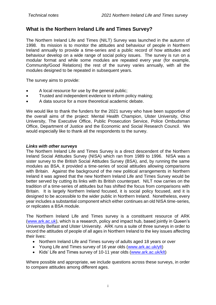# **What is the Northern Ireland Life and Times Survey?**

The Northern Ireland Life and Times (NILT) Survey was launched in the autumn of 1998. Its mission is to monitor the attitudes and behaviour of people in Northern Ireland annually to provide a time-series and a public record of how attitudes and behaviour develop on a wide range of social policy issues. The survey is run on a modular format and while some modules are repeated every year (for example, Community/Good Relations) the rest of the survey varies annually, with all the modules designed to be repeated in subsequent years.

The survey aims to provide:

- A local resource for use by the general public;
- Trusted and independent evidence to inform policy making;
- A data source for a more theoretical academic debate.

We would like to thank the funders for the 2021 survey who have been supportive of the overall aims of the project: Mental Health Champion, Ulster University, Ohio University, The Executive Office, Public Prosecution Service, Police Ombudsman Office, Department of Justice and the Economic and Social Research Council. We would especially like to thank all the respondents to the survey.

#### *Links with other surveys*

The Northern Ireland Life and Times Survey is a direct descendent of the Northern Ireland Social Attitudes Survey (NISA) which ran from 1989 to 1996. NISA was a sister survey to the British Social Attitudes Survey (BSA), and, by running the same modules as BSA, it provided a time-series of social attitudes allowing comparisons with Britain. Against the background of the new political arrangements in Northern Ireland it was agreed that the new Northern Ireland Life and Times Survey would be better served by cutting its links with its British counterpart. NILT now carries on the tradition of a time-series of attitudes but has shifted the focus from comparisons with Britain. It is largely Northern Ireland focused, it is social policy focused, and it is designed to be accessible to the wider public in Northern Ireland. Nonetheless, every year includes a substantial component which either continues an old NISA time-series, or replicates a BSA module.

The Northern Ireland Life and Times survey is a constituent resource of ARK [\(www.ark.ac.uk\)](http://www.ark.ac.uk/), which is a research, policy and impact hub, based jointly in Queen's University Belfast and Ulster University. ARK runs a suite of three surveys in order to record the attitudes of people of all ages in Northern Ireland to the key issues affecting their lives:

- Northern Ireland Life and Times survey of adults aged 18 years or over
- Young Life and Times survey of 16 year olds [\(www.ark.ac.uk/ylt\)](http://www.ark.ac.uk/ylt)
- Kids' Life and Times survey of 10-11 year olds [\(www.ark.ac.uk/klt\)](file:///C:/Users/2074877/Documents/NILT/Documentation/NILT2021/www.ark.ac.uk/klt)

Where possible and appropriate, we include questions across these surveys, in order to compare attitudes among different ages.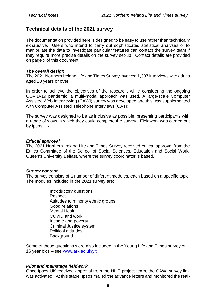### **Technical details of the 2021 survey**

The documentation provided here is designed to be easy to use rather than technically exhaustive. Users who intend to carry out sophisticated statistical analyses or to manipulate the data to investigate particular features can contact the survey team if they require more precise details on the survey set-up. Contact details are provided on page x of this document.

#### *The overall design*

The 2021 Northern Ireland Life and Times Survey involved 1,397 interviews with adults aged 18 years or over.

In order to achieve the objectives of the research, while considering the ongoing COVID-19 pandemic, a multi-modal approach was used. A large-scale Computer Assisted Web Interviewing (CAWI) survey was developed and this was supplemented with Computer Assisted Telephone Interviews (CATI).

The survey was designed to be as inclusive as possible, presenting participants with a range of ways in which they could complete the survey. Fieldwork was carried out by Ipsos UK.

#### *Ethical approval*

The 2021 Northern Ireland Life and Times Survey received ethical approval from the Ethics Committee of the School of Social Sciences, Education and Social Work, Queen's University Belfast, where the survey coordinator is based.

#### *Survey content*

The survey consists of a number of different modules, each based on a specific topic. The modules included in the 2021 survey are:

> Introductory questions Respect Attitudes to minority ethnic groups Good relations Mental Health COVID and work Income and poverty Criminal Justice system Political attitudes **Background**

Some of these questions were also included in the Young Life and Times survey of 16 year olds – see [www.ark.ac.uk/ylt](file:///C:/Users/2074877/Documents/NILT/Documentation/NILT2021/www.ark.ac.uk/ylt)

#### *Pilot and mainstage fieldwork*

Once Ipsos UK received approval from the NILT project team, the CAWI survey link was activated. At this stage, Ipsos mailed the advance letters and monitored the real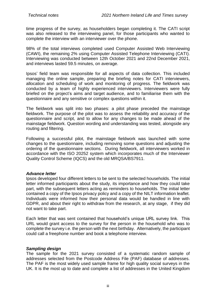time progress of the survey, as householders began completing it. The CATI script was also released to the interviewing panel, for those participants who wanted to complete the interview with an interviewer over the phone.

98% of the total interviews completed used Computer Assisted Web Interviewing (CAWI), the remaining 2% using Computer Assisted Telephone Interviewing (CATI). Interviewing was conducted between 12th October 2021 and 22nd December 2021, and interviews lasted 59.5 minutes, on average.

Ipsos' field team was responsible for all aspects of data collection. This included managing the online sample, preparing the briefing notes for CATI interviewers, allocation and scheduling of work and monitoring of progress. The fieldwork was conducted by a team of highly experienced interviewers. Interviewers were fully briefed on the project's aims and target audience, and to familiarise them with the questionnaire and any sensitive or complex questions within it.

The fieldwork was split into two phases: a pilot phase preceded the mainstage fieldwork. The purpose of the pilot was to assess the reliability and accuracy of the questionnaire and script, and to allow for any changes to be made ahead of the mainstage fieldwork. Question wording and understanding was tested, alongside any routing and filtering.

Following a successful pilot, the mainstage fieldwork was launched with some changes to the questionnaire, including removing some questions and adjusting the ordering of the questionnaire sections. During fieldwork, all interviewers worked in accordance with the ISO 20252 system which incorporates much of the Interviewer Quality Control Scheme (IQCS) and the old MRQSA/BS7911.

#### *Advance letter*

Ipsos developed four different letters to be sent to the selected households. The initial letter informed participants about the study, its importance and how they could take part, with the subsequent letters acting as reminders to households. The initial letter contained a copy of the Ipsos privacy policy and a copy of the NILT information leaflet. Individuals were informed how their personal data would be handled in line with GDPR, and about their right to withdraw from the research, at any stage, if they did not want to take part.

Each letter that was sent contained that household's unique URL survey link. This URL would grant access to the survey for the person in the household who was to complete the survey i.e. the person with the next birthday. Alternatively, the participant could call a freephone number and book a telephone interview.

#### *Sampling design*

The sample for the 2021 survey consisted of a systematic random sample of addresses selected from the Postcode Address File (PAF) database of addresses. The PAF is the most widely used sample frame for high quality social surveys in the UK. It is the most up to date and complete a list of addresses in the United Kingdom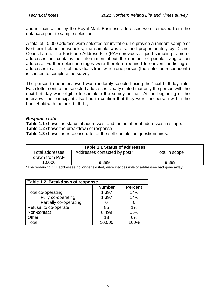and is maintained by the Royal Mail. Business addresses were removed from the database prior to sample selection.

A total of 10,000 address were selected for invitation. To provide a random sample of Northern Ireland households, the sample was stratified proportionately by District Council area. The Postcode Address File (PAF) provides a good sampling frame of addresses but contains no information about the number of people living at an address. Further selection stages were therefore required to convert the listing of addresses to a listing of individuals from which one person (the 'selected respondent') is chosen to complete the survey.

The person to be interviewed was randomly selected using the 'next birthday' rule. Each letter sent to the selected addresses clearly stated that only the person with the next birthday was eligible to complete the survey online. At the beginning of the interview, the participant also had to confirm that they were the person within the household with the next birthday.

#### *Response rate*

**Table 1.1** shows the status of addresses, and the number of addresses in scope.

**Table 1.2** shows the breakdown of response

**Table 1.3** shows the response rate for the self-completion questionnaires.

| <b>Table 1.1 Status of addresses</b>     |                              |                |  |  |
|------------------------------------------|------------------------------|----------------|--|--|
| <b>Total addresses</b><br>drawn from PAF | Addresses contacted by post* | Total in scope |  |  |
| 10,000                                   | 9,889                        | 9,889          |  |  |

\*The remaining 111 addresses no longer existed, were inaccessible or addressee had gone away

| Table 1.2 Breakdown of response |               |                |  |  |
|---------------------------------|---------------|----------------|--|--|
|                                 | <b>Number</b> | <b>Percent</b> |  |  |
| Total co-operating              | 1,397         | 14%            |  |  |
| Fully co-operating              | 1,397         | 14%            |  |  |
| Partially co-operating          |               |                |  |  |
| Refusal to co-operate           | 85            | 1%             |  |  |
| Non-contact                     | 8,499         | 85%            |  |  |
| Other                           | 13            | 0%             |  |  |
| Total                           | 10,000        | 100%           |  |  |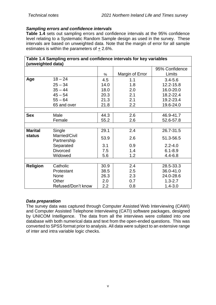#### *Sampling errors and confidence intervals*

**Table 1.4** sets out sampling errors and confidence intervals at the 95% confidence level relating to a Systematic Random Sample design as used in the survey. These intervals are based on unweighted data. Note that the margin of error for all sample estimates is within the parameters of + 2.6%.

|                   | Table 1.4 Sampling errors and confidence intervals for key variables |      |                 |                |
|-------------------|----------------------------------------------------------------------|------|-----------------|----------------|
| (unweighted data) |                                                                      |      |                 | 95% Confidence |
|                   |                                                                      |      |                 | Limits         |
|                   |                                                                      | %    | Margin of Error |                |
| Age               | $18 - 24$                                                            | 4.5  | 1.1             | $3.4 - 5.6$    |
|                   | $25 - 34$                                                            | 14.0 | 1.8             | 12.2-15.8      |
|                   | $35 - 44$                                                            | 18.0 | 2.0             | 16.0-20.0      |
|                   | $45 - 54$                                                            | 20.3 | 2.1             | 18.2-22.4      |
|                   | $55 - 64$                                                            | 21.3 | 2.1             | 19.2-23.4      |
|                   | 65 and over                                                          | 21.8 | 2.2             | 19.6-24.0      |
|                   |                                                                      |      |                 |                |
| <b>Sex</b>        | Male                                                                 | 44.3 | 2.6             | 46.9-41.7      |
|                   | Female                                                               | 55.2 | 2.6             | 52.6-57.8      |
|                   |                                                                      |      |                 |                |
| <b>Marital</b>    | Single                                                               | 29.1 | 2.4             | 26.7-31.5      |
| status            | Married/Civil<br>Partnership                                         | 53.9 | 2.6             | 51.3-56.5      |
|                   | Separated                                                            | 3.1  | 0.9             | $2.2 - 4.0$    |
|                   | <b>Divorced</b>                                                      | 7.5  | 1.4             | $6.1 - 8.9$    |
|                   | Widowed                                                              | 5.6  | 1.2             | $4.4 - 6.8$    |
|                   |                                                                      |      |                 |                |
| <b>Religion</b>   | Catholic                                                             | 30.9 | 2.4             | 28.5-33.3      |
|                   | Protestant                                                           | 38.5 | 2.5             | 36.0-41.0      |
|                   | None                                                                 | 26.3 | 2.3             | 24.0-28.6      |
|                   | Other                                                                | 2.0  | 0.7             | $1.3 - 2.7$    |
|                   | Refused/Don't know                                                   | 2.2  | 0.8             | $1.4 - 3.0$    |

#### *Data preparation*

The survey data was captured through Computer Assisted Web Interviewing (CAWI) and Computer Assisted Telephone Interviewing (CATI) software packages, designed by UNICOM Intelligence. The data from all the interviews were collated into one database with both numerical data and text from the open-ended questions. This was converted to SPSS format prior to analysis. All data were subject to an extensive range of inter and intra variable logic checks.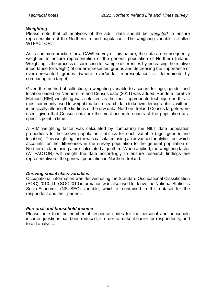#### *Weighting*

Please note that all analyses of the adult data should be *weighted* to ensure representation of the Northern Ireland population. The weighting variable is called WTFACTOR.

As is common practice for a CAWI survey of this nature, the data are subsequently weighted to ensure representation of the general population of Northern Ireland. Weighting is the process of correcting for sample differences by increasing the relative importance (or weight) of underrepresented groups and decreasing the importance of overrepresented groups (where over/under representation is determined by comparing to a target).

Given the method of collection, a weighting variable to account for age, gender and location based on Northern Ireland Census data (2011) was added. Random Iterative Method (RIM) weighting was selected as the most appropriate technique as this is most commonly used to weight market research data to known demographics, without intrinsically altering the findings of the raw data. Northern Ireland Census targets were used, given that Census data are the most accurate counts of the population at a specific point in time.

A RIM weighting factor was calculated by comparing the NILT data population proportions to the known population statistics for each variable (age, gender and location). This weighting factor was calculated using an advanced analytics tool which accounts for the differences in the survey population to the general population of Northern Ireland using a pre-calculated algorithm. When applied, the weighting factor (WTFACTOR) will weight the data accordingly to ensure research findings are representative of the general population in Northern Ireland.

#### *Deriving social class variables*

Occupational information was derived using the Standard Occupational Classification (SOC) 2010. The SOC2010 information was also used to derive the National Statistics Socio-Economic (NS SEC) variable, which is contained in this dataset for the respondent and their partner.

#### *Personal and household income*

Please note that the number of response codes for the personal and household income questions has been reduced, in order to make it easier for respondents, and to aid analysis.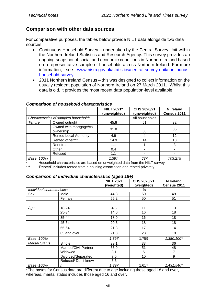# **Comparison with other data sources**

For comparative purposes, the tables below provide NILT data alongside two data sources:

- Continuous Household Survey undertaken by the Central Survey Unit within the Northern Ireland Statistics and Research Agency. This survey provides an ongoing snapshot of social and economic conditions in Northern Ireland based on a representative sample of households across Northern Ireland. For more information, see [www.nisra.gov.uk/statistics/central-survey-unit/continuous](file:///C:/Users/2074877/Documents/NILT/Documentation/NILT2021/www.nisra.gov.uk/statistics/central-survey-unit/continuous-household-survey)[household-survey](file:///C:/Users/2074877/Documents/NILT/Documentation/NILT2021/www.nisra.gov.uk/statistics/central-survey-unit/continuous-household-survey)
- 2011 Northern Ireland Census this was designed to collect information on the usually resident population of Northern Ireland on 27 March 2011. Whilst this data is old, it provides the most recent data population-level available

|           |                                       | <b>NILT 2021*</b><br>(unweighted) | CHS 2020/21<br>(unweighted) | N Ireland<br>Census 2011 |
|-----------|---------------------------------------|-----------------------------------|-----------------------------|--------------------------|
|           | Characteristics of sampled households |                                   | All households              |                          |
| Tenure    | Owned outright                        | 45.8                              | 51                          | 32                       |
|           | Owned with mortgage/co-<br>ownership  | 31.8                              | 30                          | 35                       |
|           | <b>Rented Local Authority</b>         | 4.9                               |                             | 12                       |
|           | Rented other***                       | 14.9                              | 14                          | 18                       |
|           | Rent free                             | 1.1                               |                             | 3                        |
|           | Other                                 | 0.4                               |                             |                          |
|           | Refused                               | 1.1                               |                             |                          |
| Base=100% |                                       | 1,397                             | 637                         | 703,275                  |

#### *Comparison of household characteristics*

\* Household characteristics are based on unweighted data from the NILT survey

\*\*\* 'Rented' includes rented from a housing association and rented privately

#### *Comparison of individual characteristics (aged 18+)*

|                            |                       | ັ<br><b>NILT 2021</b><br>(weighted) | CHS 2020/21<br>(weighted) | <b>N</b> Ireland<br>Census 2011 |
|----------------------------|-----------------------|-------------------------------------|---------------------------|---------------------------------|
| Individual characteristics |                       |                                     | $\%$                      |                                 |
| Sex                        | Male                  | 44.3                                | 50                        | 49                              |
|                            | Female                | 55.2                                | 50                        | 51                              |
|                            |                       |                                     |                           |                                 |
| Age                        | 18-24                 | 4.5                                 | 11                        | 13                              |
|                            | 25-34                 | 14.0                                | 16                        | 18                              |
|                            | 35-44                 | 18.0                                | 16                        | 18                              |
|                            | 45-54                 | 20.3                                | 18                        | 18                              |
|                            | 55-64                 | 21.3                                | 17                        | 14                              |
|                            | 65 and over           | 21.8                                | 23                        | 19                              |
| Base=100%                  |                       | 1,397                               | 1,759                     | $1,380,100*$                    |
| <b>Marital Status</b>      | Single                | 29.1                                | 33                        | 36                              |
|                            | Married/Civil Partner | 53.9                                | 51                        | 48                              |
|                            | Widowed               | 3.1                                 | 5                         | 7                               |
|                            | Divorced/Separated    | 7.5                                 | 10                        | 9                               |
|                            | Refused/Don't know    | 5.6                                 | ۰                         | $\blacksquare$                  |
| Base=100%                  | n                     | 1,397                               | 1,617                     | 1,431,540*                      |

\*The bases for Census data are different due to age including those aged 18 and over, whereas, marital status includes those aged 16 and over.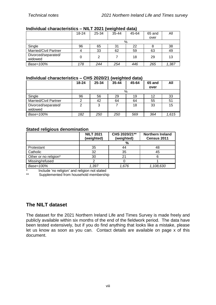#### **Individual characteristics – NILT 2021 (weighted data)**

|                                | 18-24 | 25-34 | $35 - 44$ | 45-64 | 65 and | All   |
|--------------------------------|-------|-------|-----------|-------|--------|-------|
|                                |       |       |           |       | over   |       |
|                                |       |       |           | %     |        |       |
| Single                         | 96    | 65    | 31        | 22    |        | 38    |
| <b>Married/Civil Partner</b>   | 4     | 33    | 62        | 59    | 63     | 49    |
| Divorced/separated/<br>widowed | 0     | 2     |           | 18    | 29     | 13    |
| Base=100%                      | 178   | 244   | 254       | 446   | 265    | 1,387 |

#### **Individual characteristics – CHS 2020/21 (weighted data)**

|                                | $18 - 24$ | 25-34 | $35 - 44$ | 45-64 | 65 and | All   |
|--------------------------------|-----------|-------|-----------|-------|--------|-------|
|                                |           |       |           |       | over   |       |
|                                | %         |       |           |       |        |       |
| Single                         | 96        | 56    | 29        | 19    | 12     | 33    |
| <b>Married/Civil Partner</b>   | 2         | 42    | 64        | 64    | 55     | 51    |
| Divorced/separated/<br>widowed | 2         | ີ     |           | 18    | 33     | 15    |
| Base=100%                      | 182       | 250   | 250       | 569   | 364    | 1,615 |

#### **Stated religious denomination**

|                       | <b>NILT 2021</b><br>(weighted) | CHS 2020/21**<br>(weighted) | <b>Northern Ireland</b><br>Census 2011 |
|-----------------------|--------------------------------|-----------------------------|----------------------------------------|
|                       |                                | %                           |                                        |
| Protestant            | 35                             | 44                          | 48                                     |
| Catholic              | 32                             | 35                          | 45                                     |
| Other or no religion* | 30                             |                             |                                        |
| Missing/refused       |                                |                             |                                        |
| Base=100%             | 1.397                          | 1.676                       | 1,108,630                              |

\* Include 'no religion' and religion not stated<br>\*\* Supplemented from bounched membership

Supplemented from household membership

# **The NILT dataset**

The dataset for the 2021 Northern Ireland Life and Times Survey is made freely and publicly available within six months of the end of the fieldwork period. The data have been tested extensively, but if you do find anything that looks like a mistake, please let us know as soon as you can. Contact details are available on page x of this document.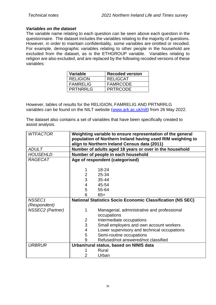#### *Variables on the dataset*

The variable name relating to each question can be seen above each question in the questionnaire. The dataset includes the variables relating to the majority of questions. However, in order to maintain confidentiality, some variables are omitted or recoded. For example, demographic variables relating to other people in the household are excluded from the dataset, as is the ETHGROUP variable. Variables relating to religion are also excluded, and are replaced by the following recoded versions of these variables:

| Variable        | <b>Recoded version</b> |
|-----------------|------------------------|
| <b>RELIGION</b> | <b>RELIGCAT</b>        |
| l FAMRELIG      | <b>FAMRCODE</b>        |
| <b>PRTNRRLG</b> | <b>PRTRCODE</b>        |

However, tables of results for the RELIGION, FAMRELIG AND PRTNRRLG variables can be found on the NILT website [\(www.ark.ac.uk/nilt\)](file:///C:/Users/2074877/Documents/NILT/Documentation/NILT2021/www.ark.ac.uk/nilt) from 26 May 2022.

The dataset also contains a set of variables that have been specifically created to assist analysis.

| <b>WTFACTOR</b><br>Weighting variable to ensure representation of the general<br>population of Northern Ireland having used RIM weighting to |  |
|----------------------------------------------------------------------------------------------------------------------------------------------|--|
| align to Northern Ireland Census data (2011)<br><b>ADULT</b><br>Number of adults aged 18 years or over in the household                      |  |
| Number of people in each household<br><b>HOUSEHLD</b>                                                                                        |  |
| <b>RAGECAT</b>                                                                                                                               |  |
| Age of respondent (categorised)                                                                                                              |  |
| 18-24                                                                                                                                        |  |
| 25-34                                                                                                                                        |  |
| $\overline{2}$<br>3                                                                                                                          |  |
| $35 - 44$                                                                                                                                    |  |
| 4<br>45-54                                                                                                                                   |  |
| 5<br>55-64                                                                                                                                   |  |
| 6<br>$65+$                                                                                                                                   |  |
| NSSEC1<br><b>National Statistics Socio Economic Classification (NS SEC)</b>                                                                  |  |
| (Respondent)                                                                                                                                 |  |
| NSSEC2 (Partner)<br>Managerial, administrative and professional                                                                              |  |
| occupations                                                                                                                                  |  |
| Intermediate occupations<br>$\overline{2}$                                                                                                   |  |
| 3<br>Small employers and own account workers                                                                                                 |  |
| Lower supervisory and technical occupations<br>4                                                                                             |  |
| Semi-routine occupations<br>5                                                                                                                |  |
| Refused/not answered/not classified<br>9                                                                                                     |  |
| <b>URBRUR</b><br>Urban/rural status, based on NINIS data                                                                                     |  |
| Rural                                                                                                                                        |  |
| 2<br>Urban                                                                                                                                   |  |